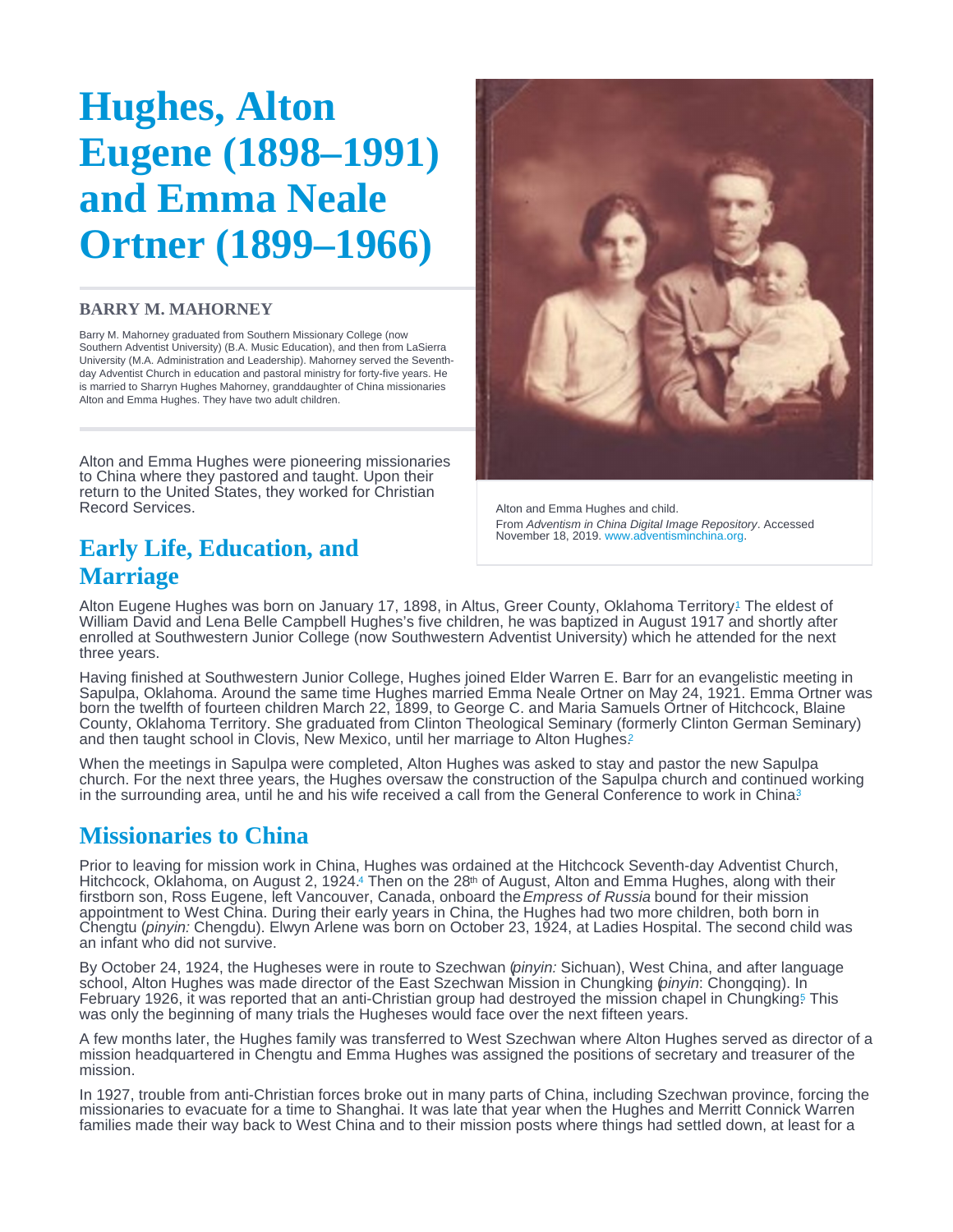# <span id="page-0-0"></span>Hughes, Alton Eugene (1898–1991) and Emma Neale Ortner (1899–1966)

#### BARRY M. MAHORNEY

Barry M. Mahorney graduated from Southern Missionary College (now Southern Adventist University) (B.A. Music Education), and then from LaSierra University (M.A. Administration and Leadership). Mahorney served the Seventhday Adventist Church in education and pastoral ministry for forty-five years. He is married to Sharryn Hughes Mahorney, granddaughter of China missionaries Alton and Emma Hughes. They have two adult children.

Alton and Emma Hughes were pioneering missionaries to China where they pastored and taught. Upon their return to the United States, they worked for Christian Record Services.

# Early Life, Education, and **Marriage**

Alton and Emma Hughes and child. From Adventism in China Digital Image Repository. Accessed November 18, 2019. [www.adventisminchina.org.](http://www.adventisminchina.org/)

Alton Eugene Hughes was born on January 17, 1898, in Altus, Greer County, Oklahoma Territory[.](#page-2-0) The eldest of 1 William David and Lena Belle Campbell Hughes's five children, he was baptized in August 1917 and shortly after enrolled at Southwestern Junior College (now Southwestern Adventist University) which he attended for the next three years.

Having finished at Southwestern Junior College, Hughes joined Elder Warren E. Barr for an evangelistic meeting in Sapulpa, Oklahoma. Around the same time Hughes married Emma Neale Ortner on May 24, 1921. Emma Ortner was born the twelfth of fourteen children March 22, 1899, to George C. and Maria Samuels Ortner of Hitchcock, Blaine County, Oklahoma Territory. She graduated from Clinton Theological Seminary (formerly Clinton German Seminary) and then taught school in Clovis, New Mexico, until her marriage to Alton Hughes?

When the meetings in Sapulpa were completed, Alton Hughes was asked to stay and pastor the new Sapulpa church. For the next three years, the Hughes oversaw the construction of the Sapulpa church and continued working in the surrounding area, until he and his wife received a call from the General Conference to work in China<sup>[3](#page-2-0)</sup>

## Missionaries to China

Prior to leaving for mission work in China, Hughes was ordained at the Hitchcock Seventh-day Adventist Church, Hitchcock, Okľahoma, on August 2, 1924.<sup>4</sup> Then on the 28<sup>th</sup> of August, Alton and Emma Hughes, along with their firstborn son, Ross Eugene, left Vancouver, Canada, onboard the Empress of Russia bound for their mission appointment to West China. During their early years in China, the Hughes had two more children, both born in Chengtu (pinyin: Chengdu). Elwyn Arlene was born on October 23, 1924, at Ladies Hospital. The second child was an infant who did not survive.

By October 24, 1924, the Hugheses were in route to Szechwan (pinyin: Sichuan), West China, and after language school, Alton Hughes was made director of the East Szechwan Mission in Chungking (pinyin: Chongqing). In February 1926, it was reported that an anti-Christian group had destroyed the mission chapel in Chungking? This was only the beginning of many trials the Hugheses would face over the next fifteen years.

A few months later, the Hughes family was transferred to West Szechwan where Alton Hughes served as director of a mission headquartered in Chengtu and Emma Hughes was assigned the positions of secretary and treasurer of the mission.

In 1927, trouble from anti-Christian forces broke out in many parts of China, including Szechwan province, forcing the missionaries to evacuate for a time to Shanghai. It was late that year when the Hughes and Merritt Connick Warren families made their way back to West China and to their mission posts where things had settled down, at least for a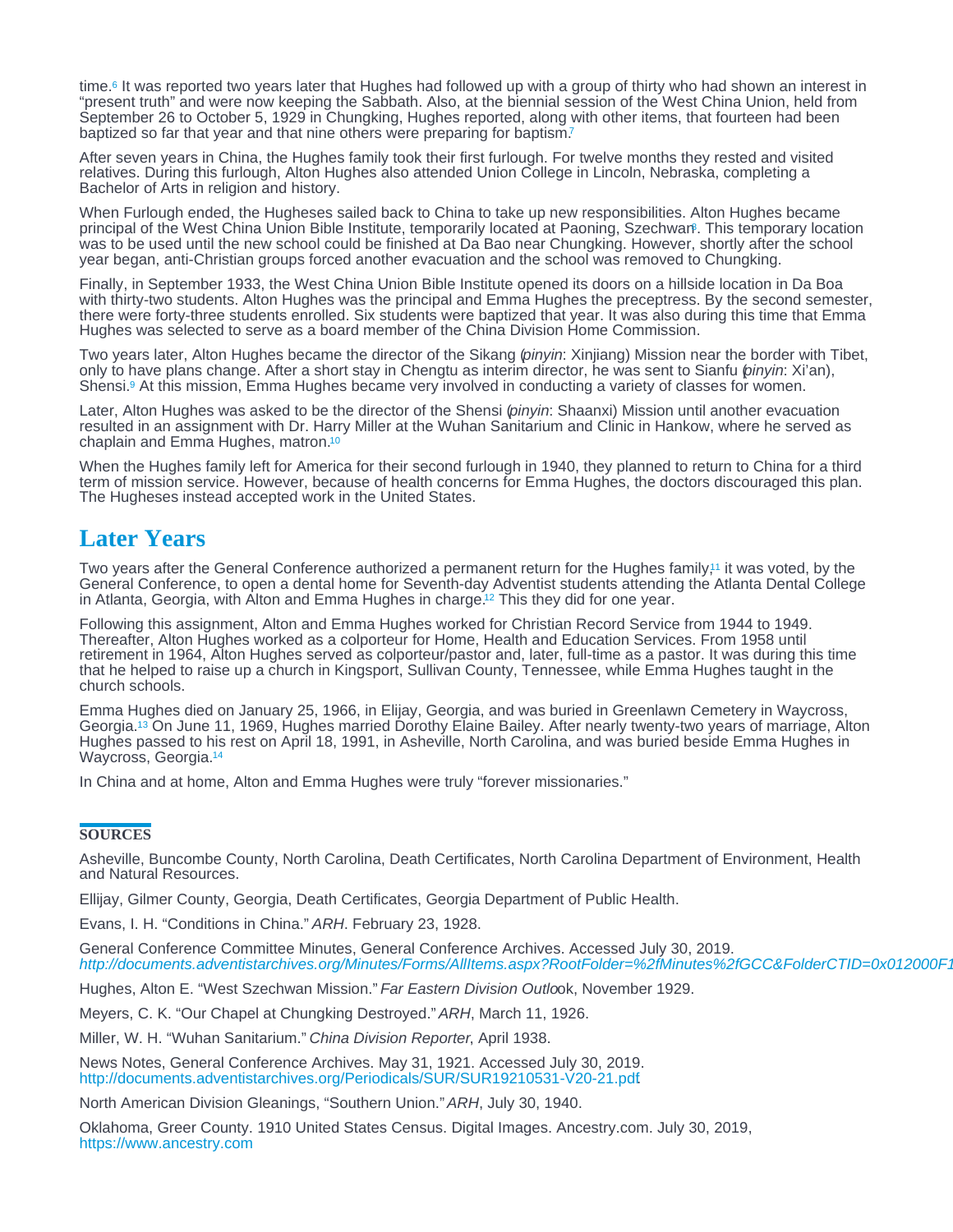<span id="page-1-0"></span>time[.](#page-2-0) $6$  It was reported two years later that Hughes had followed up with a group of thirty who had shown an interest in "present truth" and were now keeping the Sabbath. Also, at the biennial session of the West China Union, held from September 26 to October 5, 1929 in Chungking, Hughes reported, along with other items, that fourteen had been baptized so far that year and that nine others were preparing for baptism?

After seven years in China, the Hughes family took their first furlough. For twelve months they rested and visited relatives. During this furlough, Alton Hughes also attended Union College in Lincoln, Nebraska, completing a Bachelor of Arts in religion and history.

When Furlough ended, the Hugheses sailed back to China to take up new responsibilities. Alton Hughes became principal of the West China Union Bible Institute, temporarily located at Paoning, Szechwan<sup>g</sup>. This temporary location was to be used until the new school could be finished at Da Bao near Chungking. However, shortly after the school year began, anti-Christian groups forced another evacuation and the school was removed to Chungking.

Finally, in September 1933, the West China Union Bible Institute opened its doors on a hillside location in Da Boa with thirty-two students. Alton Hughes was the principal and Emma Hughes the preceptress. By the second semester, there were forty-three students enrolled. Six students were baptized that year. It was also during this time that Emma Hughes was selected to serve as a board member of the China Division Home Commission.

Two years later, Alton Hughes became the director of the Sikang (pinyin: Xinjiang) Mission near the border with Tibet, only to have plans change. After a short stay in Chengtu as interim director, he was sent to Sianfu (pinyin: Xi'an), Shensi.<sup>9</sup>At this mission, Emma Hughes became very involved in conducting a variety of classes for women.

Later, Alton Hughes was asked to be the director of the Shensi (pinyin: Shaanxi) Mission until another evacuation resulted in an assignment with Dr. Harry Miller at the Wuhan Sanitarium and Clinic in Hankow, where he served as chaplain and Emma Hughes, matron.[10](#page-2-0)

When the Hughes family left for America for their second furlough in 1940, they planned to return to China for a third term of mission service. However, because of health concerns for Emma Hughes, the doctors discouraged this plan. The Hugheses instead accepted work in the United States.

## Later Years

Two years after the General Conference authorized a permanent return for the Hughes family[,](#page-2-0)<sup>1</sup> it was voted, by the General Conference, to open a dental home for Seventh-day Adventist students attending the Atlanta Dental College in Atlanta, Georgia, with Alton and Emma Hughes in charge.<sup>12</sup> This they did for one year.

Following this assignment, Alton and Emma Hughes worked for Christian Record Service from 1944 to 1949. Thereafter, Alton Hughes worked as a colporteur for Home, Health and Education Services. From 1958 until retirement in 1964, Alton Hughes served as colporteur/pastor and, later, full-time as a pastor. It was during this time that he helped to raise up a church in Kingsport, Sullivan County, Tennessee, while Emma Hughes taught in the church schools.

Emma Hughes died on January 25, 1966, in Elijay, Georgia, and was buried in Greenlawn Cemetery in Waycross, Georgia[.](#page-2-0)<sup>13</sup> On June 11, 1969, Hughes married Dorothy Elaine Bailey. After nearly twenty-two years of marriage, Alton Hughes passed to his rest on April 18, 1991, in Asheville, North Carolina, and was buried beside Emma Hughes in Waycross, Georgia. [14](#page-2-0)

In China and at home, Alton and Emma Hughes were truly "forever missionaries."

#### **SOURCES**

Asheville, Buncombe County, North Carolina, Death Certificates, North Carolina Department of Environment, Health and Natural Resources.

Ellijay, Gilmer County, Georgia, Death Certificates, Georgia Department of Public Health.

Evans, I. H. "Conditions in China." ARH. February 23, 1928.

General Conference Committee Minutes, General Conference Archives. Accessed July 30, 2019. http://documents.adventistarchives.org/Minutes/Forms/AllItems.aspx?RootFolder=%2fMinutes%2fGCC&FolderCTID=0x012000F1

Hughes, Alton E. "West Szechwan Mission." Far Eastern Division Outlook, November 1929.

Meyers, C. K. "Our Chapel at Chungking Destroyed." ARH, March 11, 1926.

Miller, W. H. "Wuhan Sanitarium." China Division Reporter, April 1938.

News Notes, General Conference Archives. May 31, 1921. Accessed July 30, 2019. <http://documents.adventistarchives.org/Periodicals/SUR/SUR19210531-V20-21.pdf>.

North American Division Gleanings, "Southern Union." ARH, July 30, 1940.

Oklahoma, Greer County. 1910 United States Census. Digital Images. Ancestry.com. July 30, 2019, <https://www.ancestry.com>